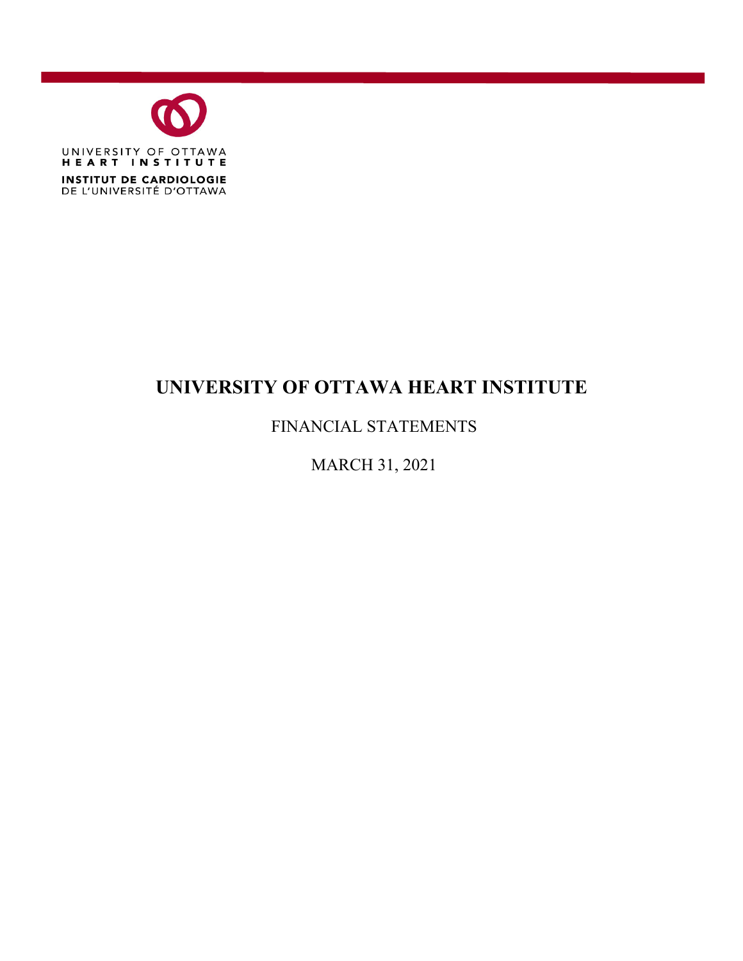

FINANCIAL STATEMENTS

MARCH 31, 2021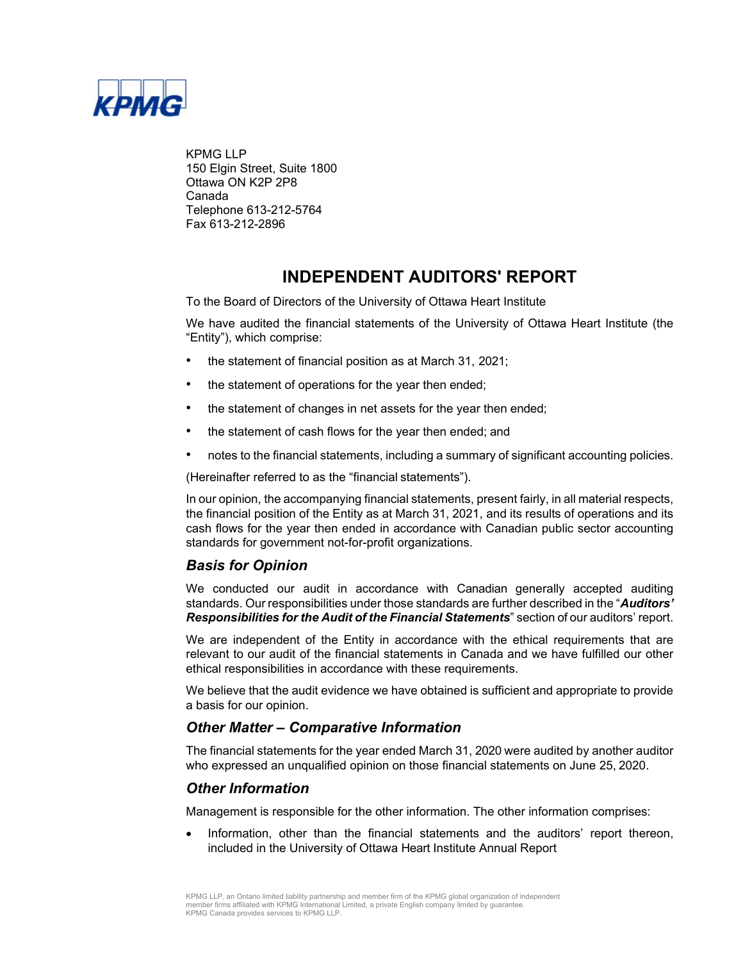

KPMG LLP 150 Elgin Street, Suite 1800 Ottawa ON K2P 2P8 Canada Telephone 613-212-5764 Fax 613-212-2896

# **INDEPENDENT AUDITORS' REPORT**

To the Board of Directors of the University of Ottawa Heart Institute

We have audited the financial statements of the University of Ottawa Heart Institute (the "Entity"), which comprise:

- the statement of financial position as at March 31, 2021;
- the statement of operations for the year then ended;
- the statement of changes in net assets for the year then ended;
- the statement of cash flows for the year then ended; and
- notes to the financial statements, including a summary of significant accounting policies.

(Hereinafter referred to as the "financial statements").

In our opinion, the accompanying financial statements, present fairly, in all material respects, the financial position of the Entity as at March 31, 2021, and its results of operations and its cash flows for the year then ended in accordance with Canadian public sector accounting standards for government not-for-profit organizations.

### *Basis for Opinion*

 We conducted our audit in accordance with Canadian generally accepted auditing standards. Our responsibilities under those standards are further described in the "*Auditors' Responsibilities for the Audit of the Financial Statements*" section of our auditors' report.

We are independent of the Entity in accordance with the ethical requirements that are relevant to our audit of the financial statements in Canada and we have fulfilled our other ethical responsibilities in accordance with these requirements.

We believe that the audit evidence we have obtained is sufficient and appropriate to provide a basis for our opinion.

### *Other Matter – Comparative Information*

 The financial statements for the year ended March 31, 2020 were audited by another auditor who expressed an unqualified opinion on those financial statements on June 25, 2020.

### *Other Information*

Management is responsible for the other information. The other information comprises:

 Information, other than the financial statements and the auditors' report thereon, included in the University of Ottawa Heart Institute Annual Report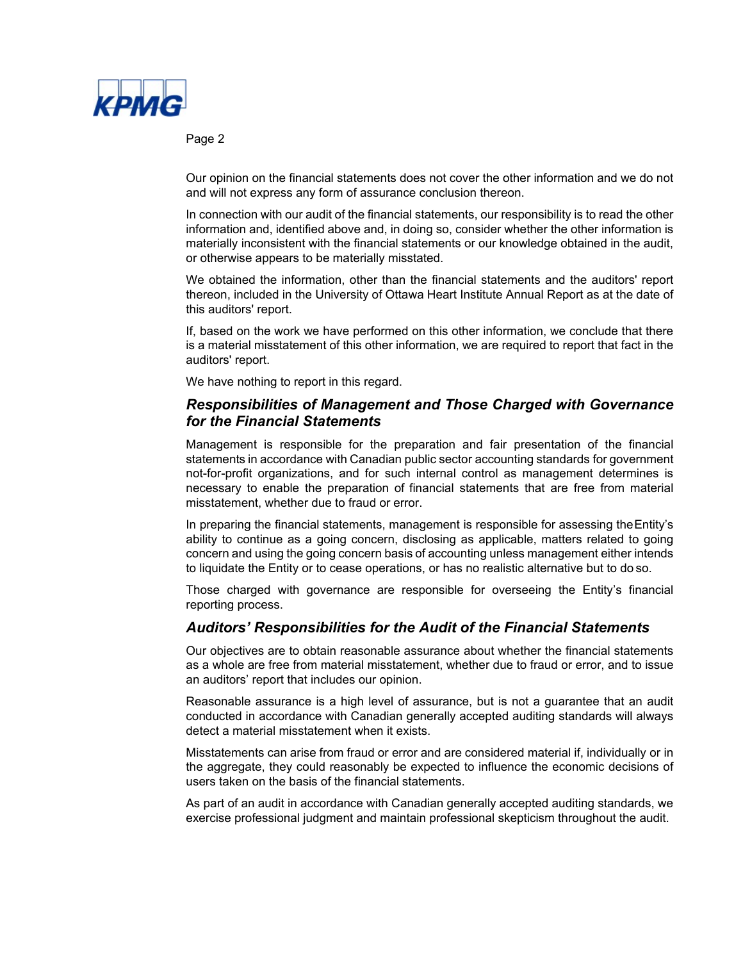

Page 2

Our opinion on the financial statements does not cover the other information and we do not and will not express any form of assurance conclusion thereon.

In connection with our audit of the financial statements, our responsibility is to read the other information and, identified above and, in doing so, consider whether the other information is materially inconsistent with the financial statements or our knowledge obtained in the audit, or otherwise appears to be materially misstated.

We obtained the information, other than the financial statements and the auditors' report thereon, included in the University of Ottawa Heart Institute Annual Report as at the date of this auditors' report.

If, based on the work we have performed on this other information, we conclude that there is a material misstatement of this other information, we are required to report that fact in the auditors' report.

We have nothing to report in this regard.

## *Responsibilities of Management and Those Charged with Governance for the Financial Statements*

Management is responsible for the preparation and fair presentation of the financial statements in accordance with Canadian public sector accounting standards for government not-for-profit organizations, and for such internal control as management determines is necessary to enable the preparation of financial statements that are free from material misstatement, whether due to fraud or error.

In preparing the financial statements, management is responsible for assessing the Entity's ability to continue as a going concern, disclosing as applicable, matters related to going concern and using the going concern basis of accounting unless management either intends to liquidate the Entity or to cease operations, or has no realistic alternative but to do so.

Those charged with governance are responsible for overseeing the Entity's financial reporting process.

## *Auditors' Responsibilities for the Audit of the Financial Statements*

Our objectives are to obtain reasonable assurance about whether the financial statements as a whole are free from material misstatement, whether due to fraud or error, and to issue an auditors' report that includes our opinion.

Reasonable assurance is a high level of assurance, but is not a guarantee that an audit conducted in accordance with Canadian generally accepted auditing standards will always detect a material misstatement when it exists.

 Misstatements can arise from fraud or error and are considered material if, individually or in the aggregate, they could reasonably be expected to influence the economic decisions of users taken on the basis of the financial statements.

As part of an audit in accordance with Canadian generally accepted auditing standards, we exercise professional judgment and maintain professional skepticism throughout the audit.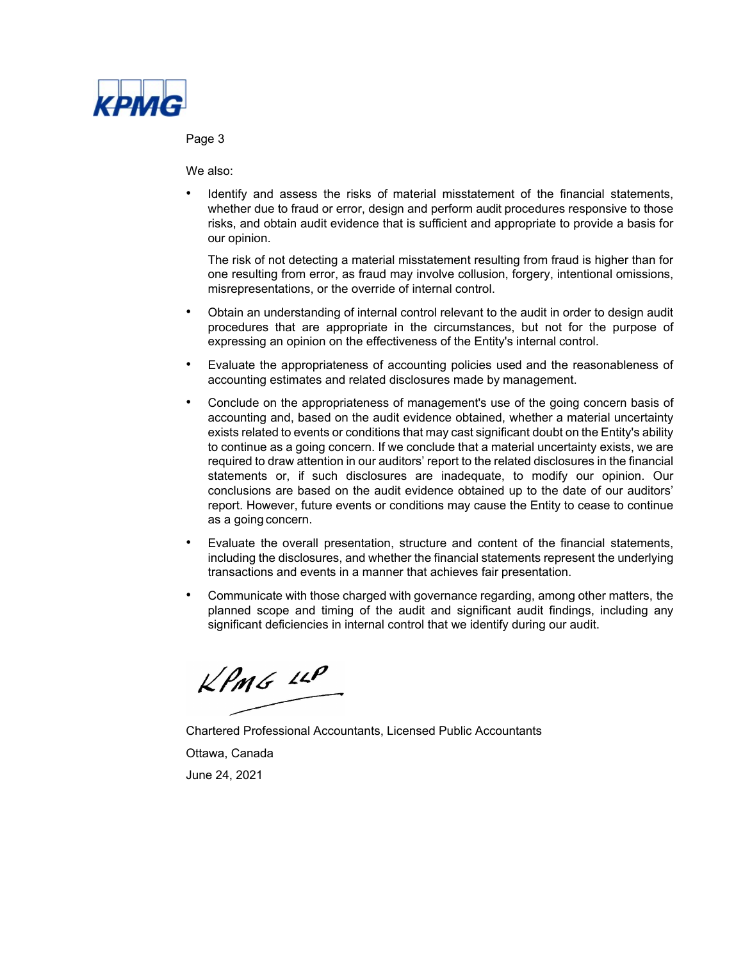

Page 3

We also:

• Identify and assess the risks of material misstatement of the financial statements, whether due to fraud or error, design and perform audit procedures responsive to those risks, and obtain audit evidence that is sufficient and appropriate to provide a basis for our opinion.

The risk of not detecting a material misstatement resulting from fraud is higher than for one resulting from error, as fraud may involve collusion, forgery, intentional omissions, misrepresentations, or the override of internal control.

- Obtain an understanding of internal control relevant to the audit in order to design audit procedures that are appropriate in the circumstances, but not for the purpose of expressing an opinion on the effectiveness of the Entity's internal control.
- Evaluate the appropriateness of accounting policies used and the reasonableness of accounting estimates and related disclosures made by management.
- Conclude on the appropriateness of management's use of the going concern basis of accounting and, based on the audit evidence obtained, whether a material uncertainty exists related to events or conditions that may cast significant doubt on the Entity's ability to continue as a going concern. If we conclude that a material uncertainty exists, we are required to draw attention in our auditors' report to the related disclosures in the financial statements or, if such disclosures are inadequate, to modify our opinion. Our conclusions are based on the audit evidence obtained up to the date of our auditors' report. However, future events or conditions may cause the Entity to cease to continue as a going concern.
- Evaluate the overall presentation, structure and content of the financial statements, including the disclosures, and whether the financial statements represent the underlying transactions and events in a manner that achieves fair presentation.
- Communicate with those charged with governance regarding, among other matters, the planned scope and timing of the audit and significant audit findings, including any significant deficiencies in internal control that we identify during our audit.

 $KPMG$  11P

Chartered Professional Accountants, Licensed Public Accountants Ottawa, Canada June 24, 2021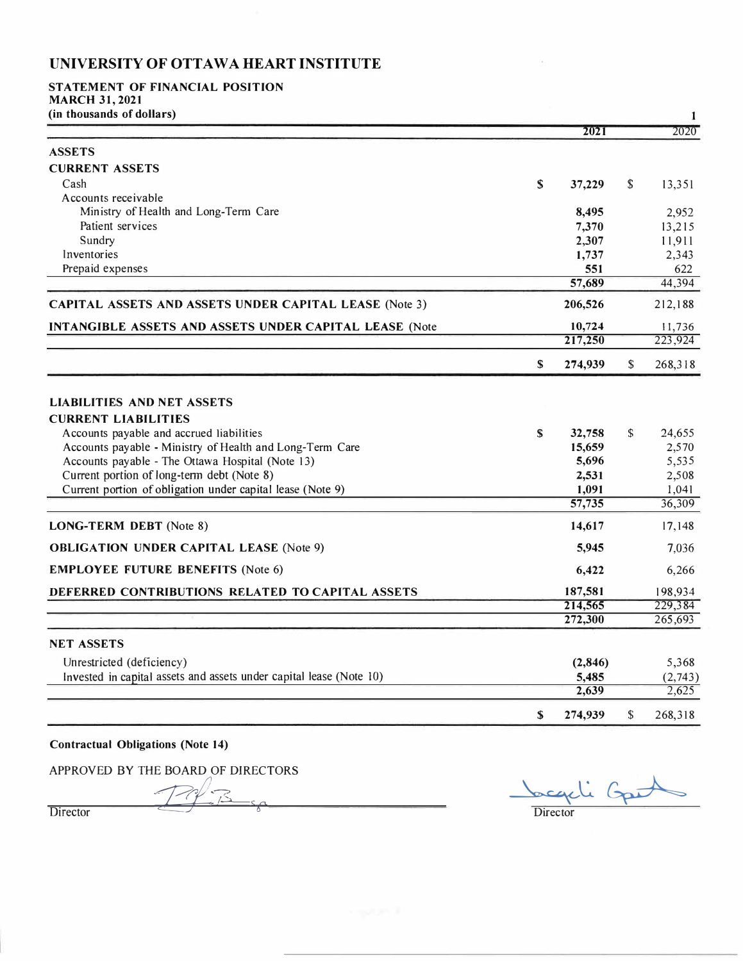#### **STATEMENT OF FINANCIAL POSITION MARCH 31, 2021 (in thousands of dollars) 1**

|                                                                     |    | 2021     |              | 2020    |
|---------------------------------------------------------------------|----|----------|--------------|---------|
| <b>ASSETS</b>                                                       |    |          |              |         |
| <b>CURRENT ASSETS</b>                                               |    |          |              |         |
| Cash                                                                | \$ | 37,229   | \$           | 13,351  |
| Accounts receivable                                                 |    |          |              |         |
| Ministry of Health and Long-Term Care                               |    | 8,495    |              | 2,952   |
| Patient services                                                    |    | 7,370    |              | 13,215  |
| Sundry                                                              |    | 2,307    |              | 11,911  |
| Inventories                                                         |    | 1,737    |              | 2,343   |
| Prepaid expenses                                                    |    | 551      |              | 622     |
|                                                                     |    | 57,689   |              | 44,394  |
| CAPITAL ASSETS AND ASSETS UNDER CAPITAL LEASE (Note 3)              |    | 206,526  |              | 212,188 |
| INTANGIBLE ASSETS AND ASSETS UNDER CAPITAL LEASE (Note              |    | 10,724   |              | 11,736  |
|                                                                     |    | 217,250  |              | 223,924 |
|                                                                     | S  | 274,939  | $\mathbb{S}$ | 268,318 |
|                                                                     |    |          |              |         |
| <b>LIABILITIES AND NET ASSETS</b>                                   |    |          |              |         |
| <b>CURRENT LIABILITIES</b>                                          |    |          |              |         |
| Accounts payable and accrued liabilities                            | \$ | 32,758   | \$           | 24,655  |
| Accounts payable - Ministry of Health and Long-Term Care            |    | 15,659   |              | 2,570   |
| Accounts payable - The Ottawa Hospital (Note 13)                    |    | 5,696    |              | 5,535   |
| Current portion of long-term debt (Note 8)                          |    | 2,531    |              | 2,508   |
| Current portion of obligation under capital lease (Note 9)          |    | 1,091    |              | 1,041   |
|                                                                     |    | 57,735   |              | 36,309  |
| <b>LONG-TERM DEBT</b> (Note 8)                                      |    | 14,617   |              | 17,148  |
| <b>OBLIGATION UNDER CAPITAL LEASE (Note 9)</b>                      |    | 5,945    |              | 7,036   |
| <b>EMPLOYEE FUTURE BENEFITS (Note 6)</b>                            |    | 6,422    |              | 6,266   |
| DEFERRED CONTRIBUTIONS RELATED TO CAPITAL ASSETS                    |    | 187,581  |              | 198,934 |
|                                                                     |    | 214,565  |              | 229,384 |
|                                                                     |    | 272,300  |              | 265,693 |
| <b>NET ASSETS</b>                                                   |    |          |              |         |
| Unrestricted (deficiency)                                           |    | (2, 846) |              | 5,368   |
| Invested in capital assets and assets under capital lease (Note 10) |    | 5,485    |              | (2,743) |
|                                                                     |    | 2,639    |              | 2,625   |
|                                                                     | S  | 274,939  | \$           | 268,318 |

# **Contractual Obligations (Note 14)**

APPROVED BY THE BOARD OF DIRECTORS

79 B g Segeli Director Director **Director** 

li Gpi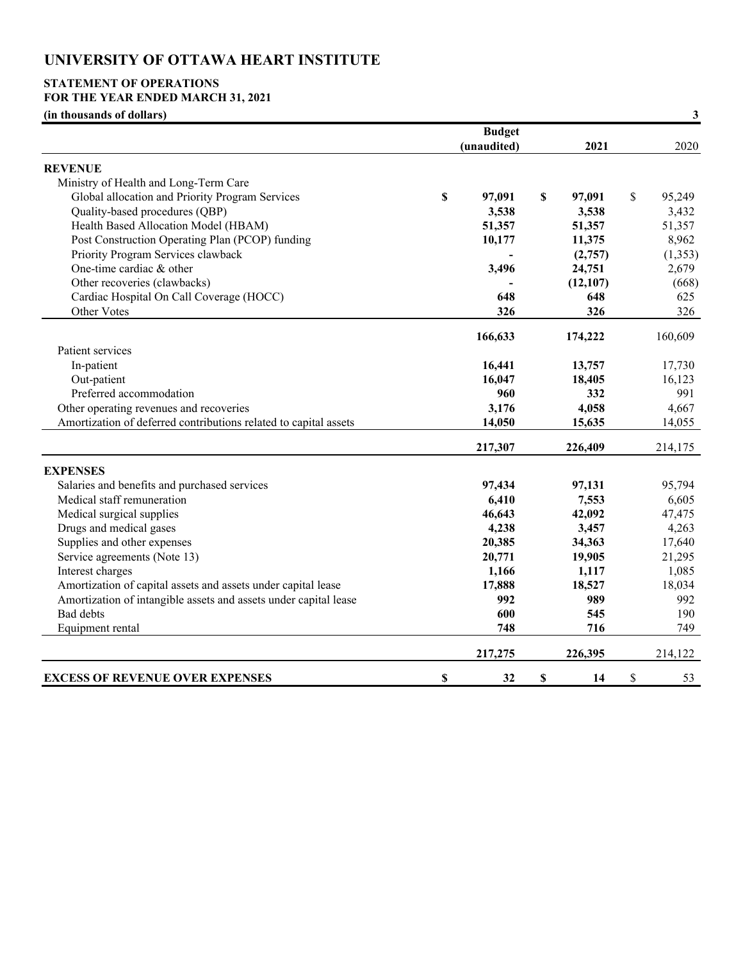# **STATEMENT OF OPERATIONS**

**FOR THE YEAR ENDED MARCH 31, 2021 (in thousands of dollars)** 

|                                                                  | <b>Budget</b> |    |          |              |
|------------------------------------------------------------------|---------------|----|----------|--------------|
|                                                                  | (unaudited)   |    | 2021     | 2020         |
| <b>REVENUE</b>                                                   |               |    |          |              |
| Ministry of Health and Long-Term Care                            |               |    |          |              |
| Global allocation and Priority Program Services                  | \$<br>97,091  | S  | 97,091   | \$<br>95,249 |
| Quality-based procedures (QBP)                                   | 3,538         |    | 3,538    | 3,432        |
| Health Based Allocation Model (HBAM)                             | 51,357        |    | 51,357   | 51,357       |
| Post Construction Operating Plan (PCOP) funding                  | 10,177        |    | 11,375   | 8,962        |
| Priority Program Services clawback                               |               |    | (2,757)  | (1,353)      |
| One-time cardiac & other                                         | 3,496         |    | 24,751   | 2,679        |
| Other recoveries (clawbacks)                                     |               |    | (12,107) | (668)        |
| Cardiac Hospital On Call Coverage (HOCC)                         | 648           |    | 648      | 625          |
| Other Votes                                                      | 326           |    | 326      | 326          |
|                                                                  | 166,633       |    | 174,222  | 160,609      |
| Patient services                                                 |               |    |          |              |
| In-patient                                                       | 16,441        |    | 13,757   | 17,730       |
| Out-patient                                                      | 16,047        |    | 18,405   | 16,123       |
| Preferred accommodation                                          | 960           |    | 332      | 991          |
| Other operating revenues and recoveries                          | 3,176         |    | 4,058    | 4,667        |
| Amortization of deferred contributions related to capital assets | 14,050        |    | 15,635   | 14,055       |
|                                                                  |               |    |          |              |
|                                                                  | 217,307       |    | 226,409  | 214,175      |
| <b>EXPENSES</b>                                                  |               |    |          |              |
| Salaries and benefits and purchased services                     | 97,434        |    | 97,131   | 95,794       |
| Medical staff remuneration                                       | 6,410         |    | 7,553    | 6,605        |
| Medical surgical supplies                                        | 46,643        |    | 42,092   | 47,475       |
| Drugs and medical gases                                          | 4,238         |    | 3,457    | 4,263        |
| Supplies and other expenses                                      | 20,385        |    | 34,363   | 17,640       |
| Service agreements (Note 13)                                     | 20,771        |    | 19,905   | 21,295       |
| Interest charges                                                 | 1,166         |    | 1,117    | 1,085        |
| Amortization of capital assets and assets under capital lease    | 17,888        |    | 18,527   | 18,034       |
| Amortization of intangible assets and assets under capital lease | 992           |    | 989      | 992          |
| <b>Bad</b> debts                                                 | 600           |    | 545      | 190          |
| Equipment rental                                                 | 748           |    | 716      | 749          |
|                                                                  | 217,275       |    | 226,395  | 214,122      |
| <b>EXCESS OF REVENUE OVER EXPENSES</b>                           | \$<br>32      | \$ | 14       | \$<br>53     |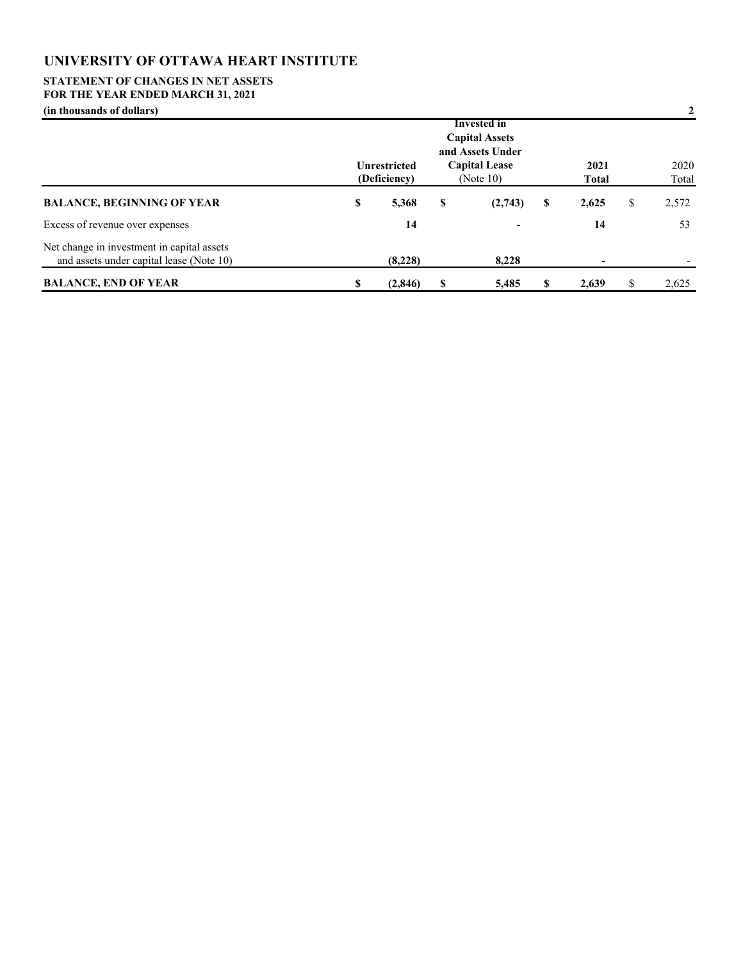#### **STATEMENT OF CHANGES IN NET ASSETS FOR THE YEAR ENDED MARCH 31, 2021 (in thousands of dollars) 2**

| $($ $\ldots$ $\ldots$ $\ldots$ $\ldots$ $\ldots$ $\ldots$ $\ldots$ $\ldots$ $\ldots$ $\ldots$ $\ldots$ $\ldots$ $\ldots$ $\ldots$ $\ldots$ $\ldots$ $\ldots$ $\ldots$ $\ldots$ $\ldots$ $\ldots$ $\ldots$ $\ldots$ $\ldots$ $\ldots$ $\ldots$ $\ldots$ $\ldots$ $\ldots$ $\ldots$ $\ldots$ $\ldots$ $\ldots$ $\ldots$ $\ldots$ $\ldots$ | <b>Invested in</b><br><b>Capital Assets</b><br>and Assets Under<br><b>Capital Lease</b><br><b>Unrestricted</b><br>(Deficiency)<br>(Note $10$ ) |          |    |                |   | 2021<br><b>Total</b> |     | 2020<br>Total |
|-----------------------------------------------------------------------------------------------------------------------------------------------------------------------------------------------------------------------------------------------------------------------------------------------------------------------------------------|------------------------------------------------------------------------------------------------------------------------------------------------|----------|----|----------------|---|----------------------|-----|---------------|
| <b>BALANCE, BEGINNING OF YEAR</b>                                                                                                                                                                                                                                                                                                       | \$                                                                                                                                             | 5,368    | S  | (2,743)        | S | 2,625                | \$. | 2,572         |
| Excess of revenue over expenses                                                                                                                                                                                                                                                                                                         |                                                                                                                                                | 14       |    | $\blacksquare$ |   | 14                   |     | 53            |
| Net change in investment in capital assets<br>and assets under capital lease (Note 10)                                                                                                                                                                                                                                                  |                                                                                                                                                | (8,228)  |    | 8,228          |   |                      |     |               |
| <b>BALANCE, END OF YEAR</b>                                                                                                                                                                                                                                                                                                             | \$                                                                                                                                             | (2, 846) | \$ | 5,485          | S | 2.639                | S   | 2.625         |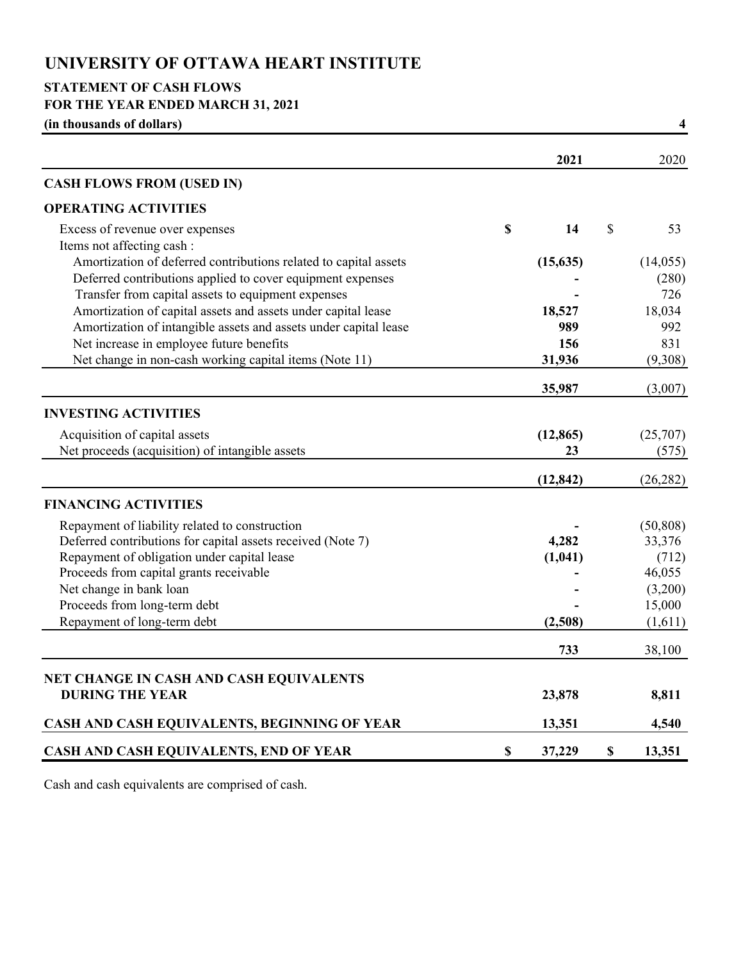# **STATEMENT OF CASH FLOWS**

# **FOR THE YEAR ENDED MARCH 31, 2021**

**(in thousands of dollars) 4** 

|                                                                  |             | 2021      | 2020         |
|------------------------------------------------------------------|-------------|-----------|--------------|
| <b>CASH FLOWS FROM (USED IN)</b>                                 |             |           |              |
| <b>OPERATING ACTIVITIES</b>                                      |             |           |              |
| Excess of revenue over expenses                                  | $\mathbf S$ | 14        | \$<br>53     |
| Items not affecting cash:                                        |             |           |              |
| Amortization of deferred contributions related to capital assets |             | (15, 635) | (14, 055)    |
| Deferred contributions applied to cover equipment expenses       |             |           | (280)        |
| Transfer from capital assets to equipment expenses               |             |           | 726          |
| Amortization of capital assets and assets under capital lease    |             | 18,527    | 18,034       |
| Amortization of intangible assets and assets under capital lease |             | 989       | 992          |
| Net increase in employee future benefits                         |             | 156       | 831          |
| Net change in non-cash working capital items (Note 11)           |             | 31,936    | (9,308)      |
|                                                                  |             | 35,987    | (3,007)      |
| <b>INVESTING ACTIVITIES</b>                                      |             |           |              |
| Acquisition of capital assets                                    |             | (12, 865) | (25,707)     |
| Net proceeds (acquisition) of intangible assets                  |             | 23        | (575)        |
|                                                                  |             | (12, 842) | (26, 282)    |
| <b>FINANCING ACTIVITIES</b>                                      |             |           |              |
| Repayment of liability related to construction                   |             |           | (50, 808)    |
| Deferred contributions for capital assets received (Note 7)      |             | 4,282     | 33,376       |
| Repayment of obligation under capital lease                      |             | (1,041)   | (712)        |
| Proceeds from capital grants receivable                          |             |           | 46,055       |
| Net change in bank loan                                          |             |           | (3,200)      |
| Proceeds from long-term debt                                     |             |           | 15,000       |
| Repayment of long-term debt                                      |             | (2,508)   | (1,611)      |
|                                                                  |             | 733       | 38,100       |
| NET CHANGE IN CASH AND CASH EQUIVALENTS                          |             |           |              |
| <b>DURING THE YEAR</b>                                           |             | 23,878    | 8,811        |
| CASH AND CASH EQUIVALENTS, BEGINNING OF YEAR                     |             | 13,351    | 4,540        |
| CASH AND CASH EQUIVALENTS, END OF YEAR                           | \$          | 37,229    | \$<br>13,351 |

Cash and cash equivalents are comprised of cash.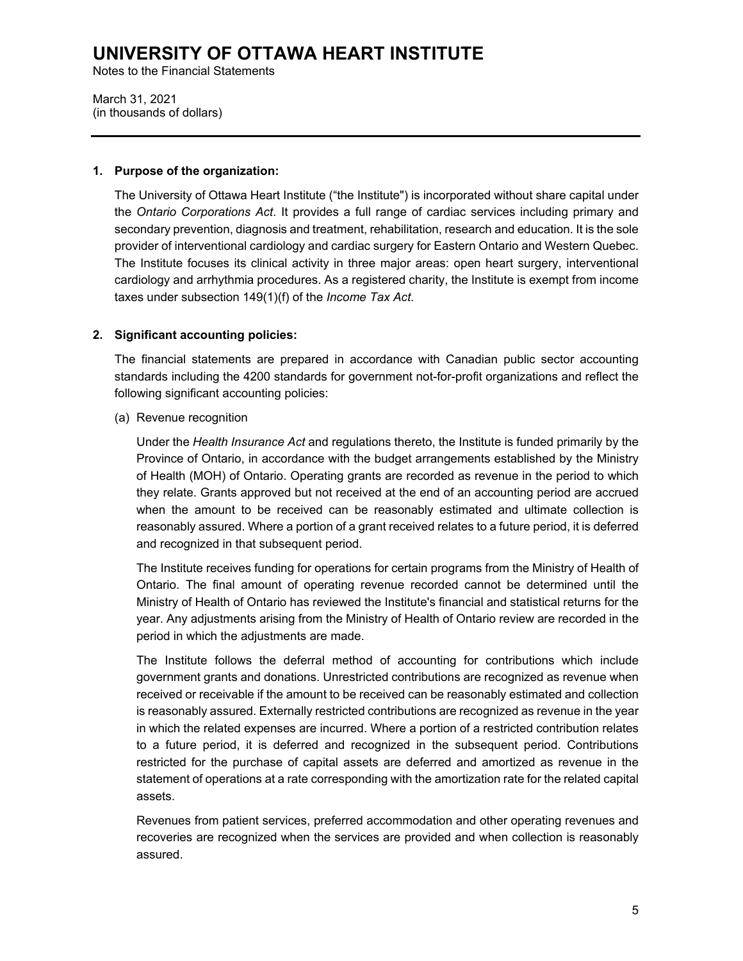Notes to the Financial Statements

March 31, 2021 (in thousands of dollars)

#### **1. Purpose of the organization:**

The University of Ottawa Heart Institute ("the Institute") is incorporated without share capital under the *Ontario Corporations Act*. It provides a full range of cardiac services including primary and secondary prevention, diagnosis and treatment, rehabilitation, research and education. It is the sole provider of interventional cardiology and cardiac surgery for Eastern Ontario and Western Quebec. The Institute focuses its clinical activity in three major areas: open heart surgery, interventional cardiology and arrhythmia procedures. As a registered charity, the Institute is exempt from income taxes under subsection 149(1)(f) of the *Income Tax Act*.

### **2. Significant accounting policies:**

The financial statements are prepared in accordance with Canadian public sector accounting standards including the 4200 standards for government not-for-profit organizations and reflect the following significant accounting policies:

(a) Revenue recognition

Under the *Health Insurance Act* and regulations thereto, the Institute is funded primarily by the Province of Ontario, in accordance with the budget arrangements established by the Ministry of Health (MOH) of Ontario. Operating grants are recorded as revenue in the period to which they relate. Grants approved but not received at the end of an accounting period are accrued when the amount to be received can be reasonably estimated and ultimate collection is reasonably assured. Where a portion of a grant received relates to a future period, it is deferred and recognized in that subsequent period.

The Institute receives funding for operations for certain programs from the Ministry of Health of Ontario. The final amount of operating revenue recorded cannot be determined until the Ministry of Health of Ontario has reviewed the Institute's financial and statistical returns for the year. Any adjustments arising from the Ministry of Health of Ontario review are recorded in the period in which the adjustments are made.

The Institute follows the deferral method of accounting for contributions which include government grants and donations. Unrestricted contributions are recognized as revenue when received or receivable if the amount to be received can be reasonably estimated and collection is reasonably assured. Externally restricted contributions are recognized as revenue in the year in which the related expenses are incurred. Where a portion of a restricted contribution relates to a future period, it is deferred and recognized in the subsequent period. Contributions restricted for the purchase of capital assets are deferred and amortized as revenue in the statement of operations at a rate corresponding with the amortization rate for the related capital assets.

Revenues from patient services, preferred accommodation and other operating revenues and recoveries are recognized when the services are provided and when collection is reasonably assured.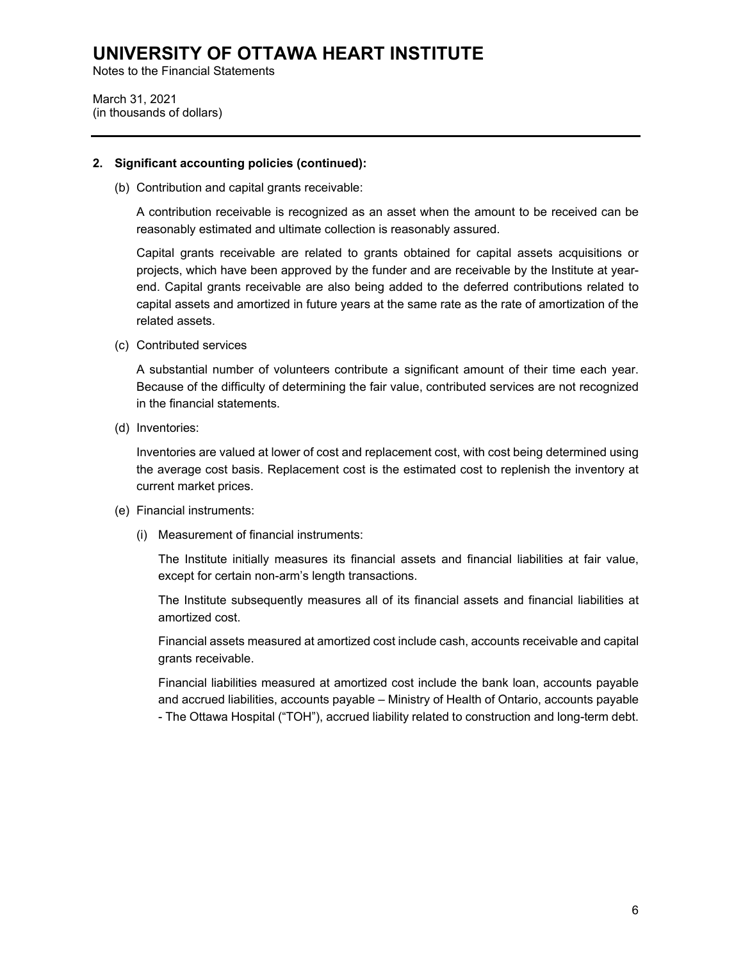Notes to the Financial Statements

March 31, 2021 (in thousands of dollars)

#### **2. Significant accounting policies (continued):**

(b) Contribution and capital grants receivable:

A contribution receivable is recognized as an asset when the amount to be received can be reasonably estimated and ultimate collection is reasonably assured.

Capital grants receivable are related to grants obtained for capital assets acquisitions or projects, which have been approved by the funder and are receivable by the Institute at yearend. Capital grants receivable are also being added to the deferred contributions related to capital assets and amortized in future years at the same rate as the rate of amortization of the related assets.

(c) Contributed services

A substantial number of volunteers contribute a significant amount of their time each year. Because of the difficulty of determining the fair value, contributed services are not recognized in the financial statements.

(d) Inventories:

Inventories are valued at lower of cost and replacement cost, with cost being determined using the average cost basis. Replacement cost is the estimated cost to replenish the inventory at current market prices.

- (e) Financial instruments:
	- (i) Measurement of financial instruments:

The Institute initially measures its financial assets and financial liabilities at fair value, except for certain non-arm's length transactions.

The Institute subsequently measures all of its financial assets and financial liabilities at amortized cost.

Financial assets measured at amortized cost include cash, accounts receivable and capital grants receivable.

Financial liabilities measured at amortized cost include the bank loan, accounts payable and accrued liabilities, accounts payable – Ministry of Health of Ontario, accounts payable - The Ottawa Hospital ("TOH"), accrued liability related to construction and long-term debt.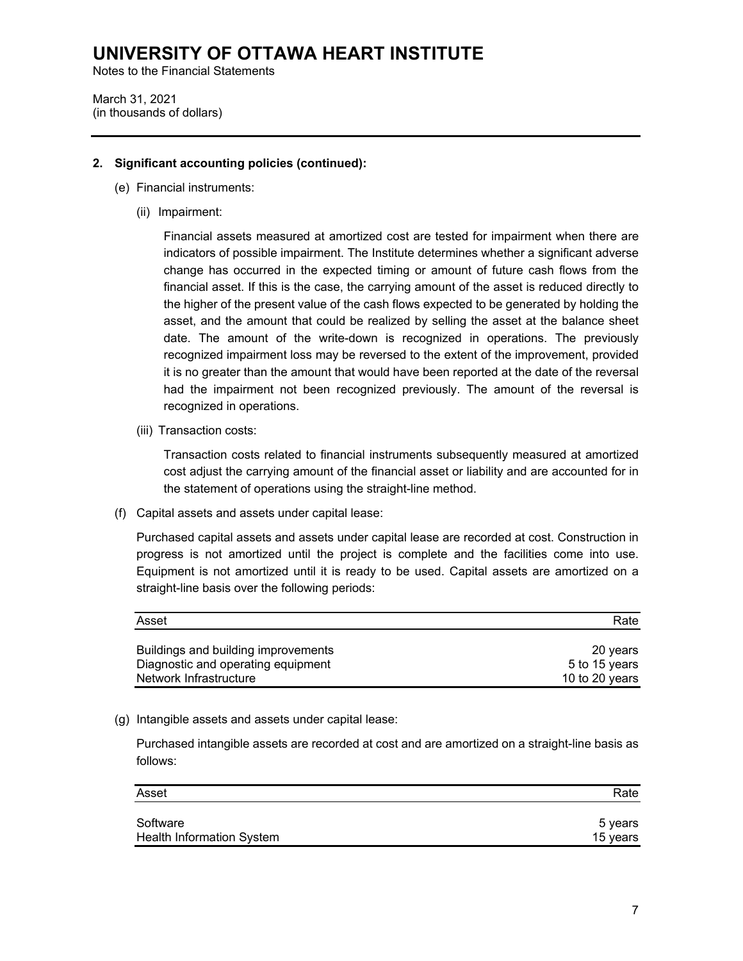Notes to the Financial Statements

March 31, 2021 (in thousands of dollars)

### **2. Significant accounting policies (continued):**

- (e) Financial instruments:
	- (ii) Impairment:

Financial assets measured at amortized cost are tested for impairment when there are indicators of possible impairment. The Institute determines whether a significant adverse change has occurred in the expected timing or amount of future cash flows from the financial asset. If this is the case, the carrying amount of the asset is reduced directly to the higher of the present value of the cash flows expected to be generated by holding the asset, and the amount that could be realized by selling the asset at the balance sheet date. The amount of the write-down is recognized in operations. The previously recognized impairment loss may be reversed to the extent of the improvement, provided it is no greater than the amount that would have been reported at the date of the reversal had the impairment not been recognized previously. The amount of the reversal is recognized in operations.

(iii) Transaction costs:

Transaction costs related to financial instruments subsequently measured at amortized cost adjust the carrying amount of the financial asset or liability and are accounted for in the statement of operations using the straight-line method.

(f) Capital assets and assets under capital lease:

Purchased capital assets and assets under capital lease are recorded at cost. Construction in progress is not amortized until the project is complete and the facilities come into use. Equipment is not amortized until it is ready to be used. Capital assets are amortized on a straight-line basis over the following periods:

| Asset                               | Rate           |
|-------------------------------------|----------------|
|                                     |                |
| Buildings and building improvements | 20 years       |
| Diagnostic and operating equipment  | 5 to 15 years  |
| Network Infrastructure              | 10 to 20 years |

(g) Intangible assets and assets under capital lease:

Purchased intangible assets are recorded at cost and are amortized on a straight-line basis as follows:

| Asset                            | Rate     |
|----------------------------------|----------|
| Software                         | 5 years  |
| <b>Health Information System</b> | 15 years |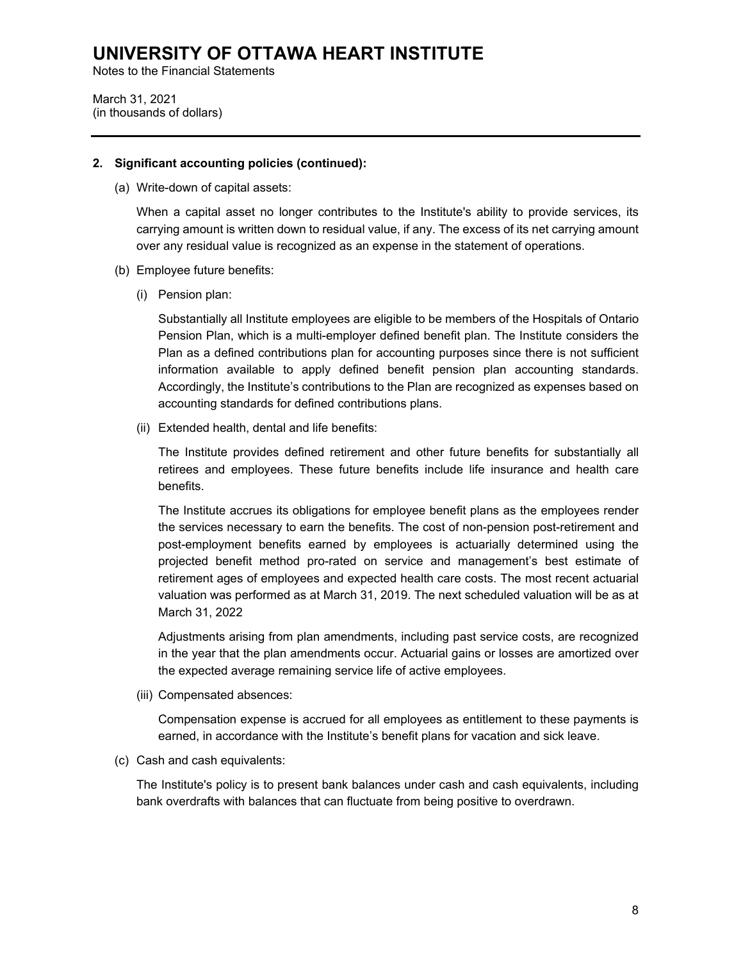Notes to the Financial Statements

March 31, 2021 (in thousands of dollars)

#### **2. Significant accounting policies (continued):**

(a) Write-down of capital assets:

When a capital asset no longer contributes to the Institute's ability to provide services, its carrying amount is written down to residual value, if any. The excess of its net carrying amount over any residual value is recognized as an expense in the statement of operations.

- (b) Employee future benefits:
	- (i) Pension plan:

Substantially all Institute employees are eligible to be members of the Hospitals of Ontario Pension Plan, which is a multi-employer defined benefit plan. The Institute considers the Plan as a defined contributions plan for accounting purposes since there is not sufficient information available to apply defined benefit pension plan accounting standards. Accordingly, the Institute's contributions to the Plan are recognized as expenses based on accounting standards for defined contributions plans.

(ii) Extended health, dental and life benefits:

The Institute provides defined retirement and other future benefits for substantially all retirees and employees. These future benefits include life insurance and health care benefits.

The Institute accrues its obligations for employee benefit plans as the employees render the services necessary to earn the benefits. The cost of non-pension post-retirement and post-employment benefits earned by employees is actuarially determined using the projected benefit method pro-rated on service and management's best estimate of retirement ages of employees and expected health care costs. The most recent actuarial valuation was performed as at March 31, 2019. The next scheduled valuation will be as at March 31, 2022

Adjustments arising from plan amendments, including past service costs, are recognized in the year that the plan amendments occur. Actuarial gains or losses are amortized over the expected average remaining service life of active employees.

(iii) Compensated absences:

Compensation expense is accrued for all employees as entitlement to these payments is earned, in accordance with the Institute's benefit plans for vacation and sick leave.

(c) Cash and cash equivalents:

The Institute's policy is to present bank balances under cash and cash equivalents, including bank overdrafts with balances that can fluctuate from being positive to overdrawn.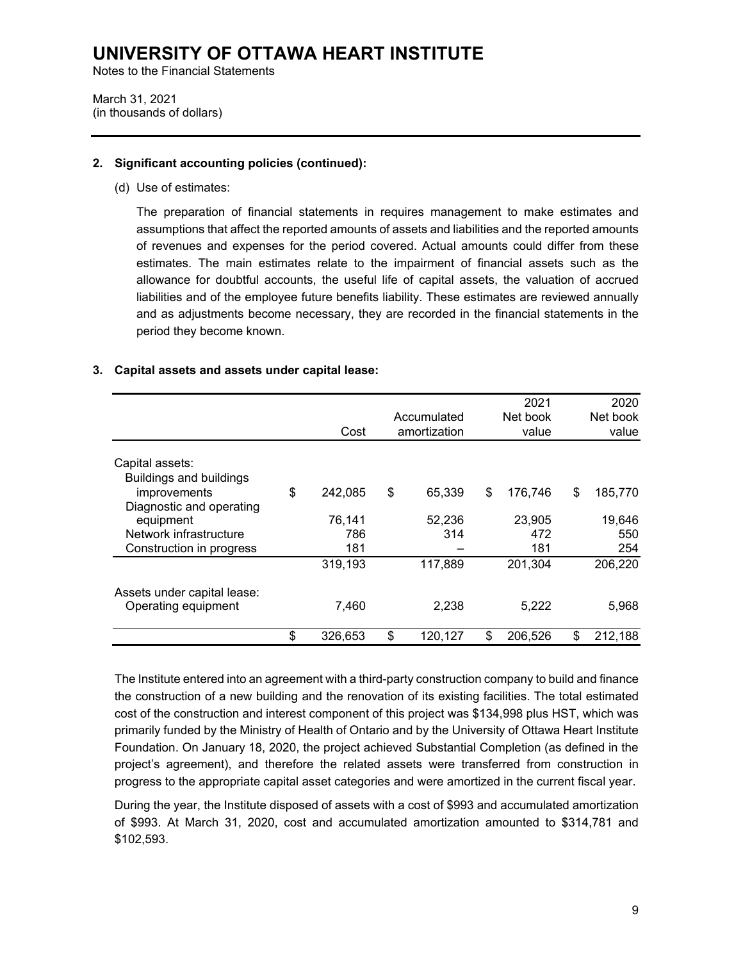Notes to the Financial Statements

March 31, 2021 (in thousands of dollars)

#### **2. Significant accounting policies (continued):**

(d) Use of estimates:

The preparation of financial statements in requires management to make estimates and assumptions that affect the reported amounts of assets and liabilities and the reported amounts of revenues and expenses for the period covered. Actual amounts could differ from these estimates. The main estimates relate to the impairment of financial assets such as the allowance for doubtful accounts, the useful life of capital assets, the valuation of accrued liabilities and of the employee future benefits liability. These estimates are reviewed annually and as adjustments become necessary, they are recorded in the financial statements in the period they become known.

### **3. Capital assets and assets under capital lease:**

|                             |               |    |              |          | 2021    | 2020          |
|-----------------------------|---------------|----|--------------|----------|---------|---------------|
|                             | Accumulated   |    | Net book     | Net book |         |               |
|                             | Cost          |    | amortization |          | value   | value         |
| Capital assets:             |               |    |              |          |         |               |
| Buildings and buildings     |               |    |              |          |         |               |
| improvements                | \$<br>242,085 | \$ | 65,339       | \$       | 176,746 | \$<br>185,770 |
| Diagnostic and operating    |               |    |              |          |         |               |
| equipment                   | 76,141        |    | 52,236       |          | 23,905  | 19,646        |
| Network infrastructure      | 786           |    | 314          |          | 472     | 550           |
| Construction in progress    | 181           |    |              |          | 181     | 254           |
|                             | 319,193       |    | 117,889      |          | 201,304 | 206,220       |
| Assets under capital lease: |               |    |              |          |         |               |
| Operating equipment         | 7.460         |    | 2,238        |          | 5,222   | 5,968         |
|                             | \$<br>326,653 | \$ | 120,127      | \$       | 206,526 | \$<br>212,188 |

The Institute entered into an agreement with a third-party construction company to build and finance the construction of a new building and the renovation of its existing facilities. The total estimated cost of the construction and interest component of this project was \$134,998 plus HST, which was primarily funded by the Ministry of Health of Ontario and by the University of Ottawa Heart Institute Foundation. On January 18, 2020, the project achieved Substantial Completion (as defined in the project's agreement), and therefore the related assets were transferred from construction in progress to the appropriate capital asset categories and were amortized in the current fiscal year.

During the year, the Institute disposed of assets with a cost of \$993 and accumulated amortization of \$993. At March 31, 2020, cost and accumulated amortization amounted to \$314,781 and \$102,593.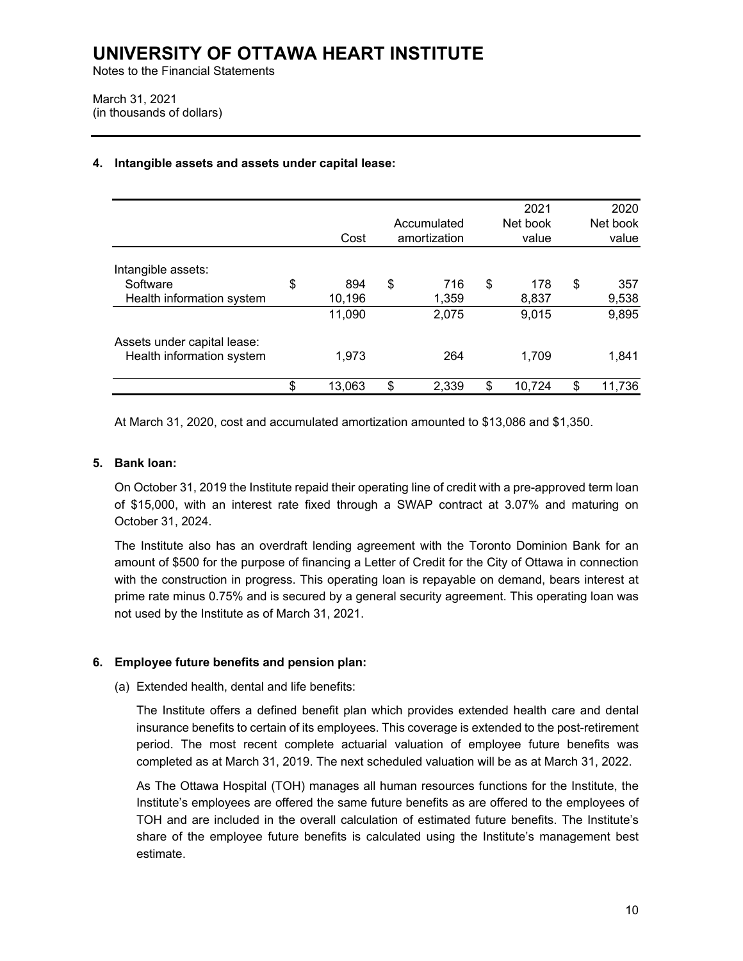Notes to the Financial Statements

### March 31, 2021 (in thousands of dollars)

### **4. Intangible assets and assets under capital lease:**

|                             |              |              | 2021         | 2020         |
|-----------------------------|--------------|--------------|--------------|--------------|
|                             |              | Accumulated  | Net book     | Net book     |
|                             | Cost         | amortization | value        | value        |
| Intangible assets:          |              |              |              |              |
| Software                    | \$<br>894    | \$<br>716    | \$<br>178    | \$<br>357    |
| Health information system   | 10,196       | 1,359        | 8,837        | 9,538        |
|                             | 11,090       | 2,075        | 9,015        | 9,895        |
| Assets under capital lease: |              |              |              |              |
| Health information system   | 1,973        | 264          | 1,709        | 1,841        |
|                             | \$<br>13,063 | \$<br>2,339  | \$<br>10.724 | \$<br>11,736 |

At March 31, 2020, cost and accumulated amortization amounted to \$13,086 and \$1,350.

### **5. Bank loan:**

On October 31, 2019 the Institute repaid their operating line of credit with a pre-approved term loan of \$15,000, with an interest rate fixed through a SWAP contract at 3.07% and maturing on October 31, 2024.

The Institute also has an overdraft lending agreement with the Toronto Dominion Bank for an amount of \$500 for the purpose of financing a Letter of Credit for the City of Ottawa in connection with the construction in progress. This operating loan is repayable on demand, bears interest at prime rate minus 0.75% and is secured by a general security agreement. This operating loan was not used by the Institute as of March 31, 2021.

### **6. Employee future benefits and pension plan:**

#### (a) Extended health, dental and life benefits:

The Institute offers a defined benefit plan which provides extended health care and dental insurance benefits to certain of its employees. This coverage is extended to the post-retirement period. The most recent complete actuarial valuation of employee future benefits was completed as at March 31, 2019. The next scheduled valuation will be as at March 31, 2022.

As The Ottawa Hospital (TOH) manages all human resources functions for the Institute, the Institute's employees are offered the same future benefits as are offered to the employees of TOH and are included in the overall calculation of estimated future benefits. The Institute's share of the employee future benefits is calculated using the Institute's management best estimate.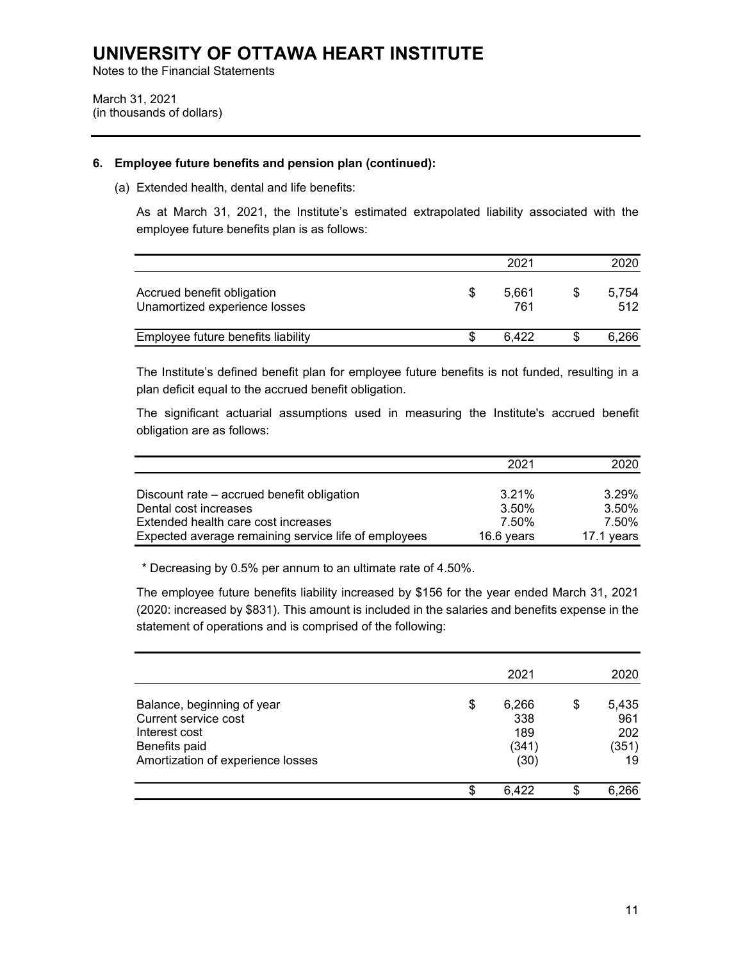Notes to the Financial Statements

#### March 31, 2021 (in thousands of dollars)

#### **6. Employee future benefits and pension plan (continued):**

(a) Extended health, dental and life benefits:

As at March 31, 2021, the Institute's estimated extrapolated liability associated with the employee future benefits plan is as follows:

|                                                             |   | 2021         | 2020         |
|-------------------------------------------------------------|---|--------------|--------------|
| Accrued benefit obligation<br>Unamortized experience losses | S | 5.661<br>761 | 5.754<br>512 |
| Employee future benefits liability                          |   | 6.422        | 6.266        |

plan deficit equal to the accrued benefit obligation. The Institute's defined benefit plan for employee future benefits is not funded, resulting in a

The significant actuarial assumptions used in measuring the Institute's accrued benefit obligation are as follows:

|                                                      | 2021       | 2020       |
|------------------------------------------------------|------------|------------|
| Discount rate – accrued benefit obligation           | 3.21%      | 3.29%      |
| Dental cost increases                                | 3.50%      | 3.50%      |
| Extended health care cost increases                  | 7.50%      | 7.50%      |
| Expected average remaining service life of employees | 16.6 years | 17.1 years |

\* Decreasing by 0.5% per annum to an ultimate rate of 4.50%.

The employee future benefits liability increased by \$156 for the year ended March 31, 2021 (2020: increased by \$831). This amount is included in the salaries and benefits expense in the statement of operations and is comprised of the following:

|                                   | 2021        |    | 2020  |
|-----------------------------------|-------------|----|-------|
| Balance, beginning of year        | \$<br>6,266 | \$ | 5,435 |
| Current service cost              | 338         |    | 961   |
| Interest cost                     | 189         |    | 202   |
| Benefits paid                     | (341)       |    | (351) |
| Amortization of experience losses | (30)        |    | 19    |
|                                   | \$<br>6,422 | œ  | 6,266 |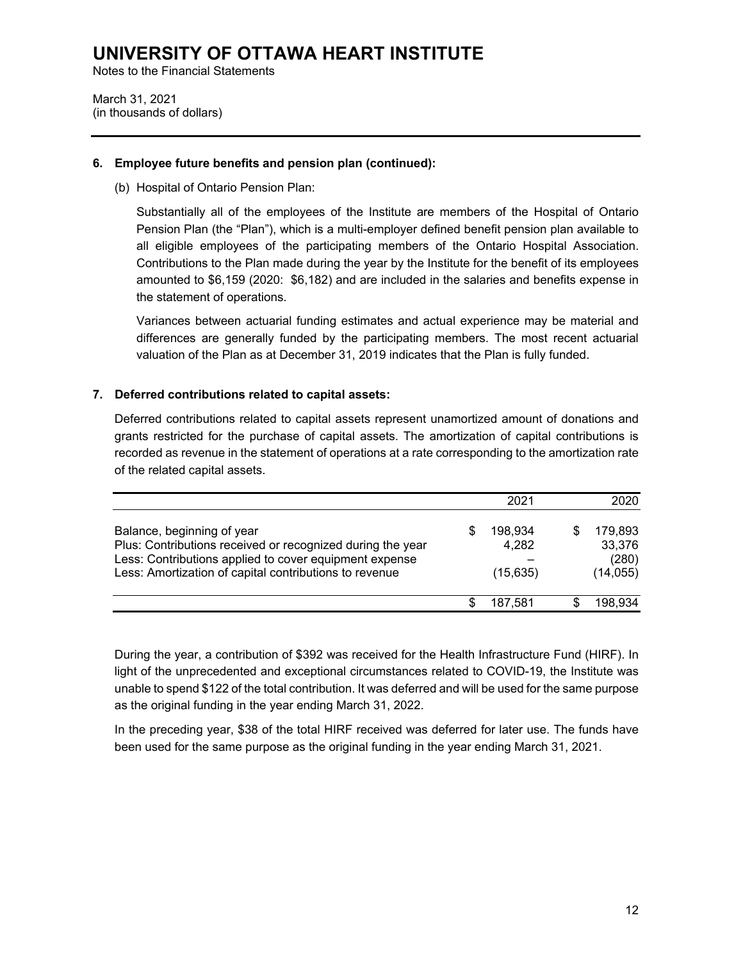Notes to the Financial Statements

March 31, 2021 (in thousands of dollars)

#### **6. Employee future benefits and pension plan (continued):**

(b) Hospital of Ontario Pension Plan:

Substantially all of the employees of the Institute are members of the Hospital of Ontario Pension Plan (the "Plan"), which is a multi-employer defined benefit pension plan available to all eligible employees of the participating members of the Ontario Hospital Association. Contributions to the Plan made during the year by the Institute for the benefit of its employees amounted to \$6,159 (2020: \$6,182) and are included in the salaries and benefits expense in the statement of operations.

Variances between actuarial funding estimates and actual experience may be material and differences are generally funded by the participating members. The most recent actuarial valuation of the Plan as at December 31, 2019 indicates that the Plan is fully funded.

### **7. Deferred contributions related to capital assets:**

Deferred contributions related to capital assets represent unamortized amount of donations and grants restricted for the purchase of capital assets. The amortization of capital contributions is recorded as revenue in the statement of operations at a rate corresponding to the amortization rate of the related capital assets.

|                                                                                                                                                                                                              | 2021                          | 2020                                    |
|--------------------------------------------------------------------------------------------------------------------------------------------------------------------------------------------------------------|-------------------------------|-----------------------------------------|
| Balance, beginning of year<br>Plus: Contributions received or recognized during the year<br>Less: Contributions applied to cover equipment expense<br>Less: Amortization of capital contributions to revenue | 198.934<br>4,282<br>(15, 635) | 179.893<br>33,376<br>(280)<br>(14, 055) |
|                                                                                                                                                                                                              | 187.581                       | 198,934                                 |

During the year, a contribution of \$392 was received for the Health Infrastructure Fund (HIRF). In light of the unprecedented and exceptional circumstances related to COVID-19, the Institute was unable to spend \$122 of the total contribution. It was deferred and will be used for the same purpose as the original funding in the year ending March 31, 2022.

In the preceding year, \$38 of the total HIRF received was deferred for later use. The funds have been used for the same purpose as the original funding in the year ending March 31, 2021.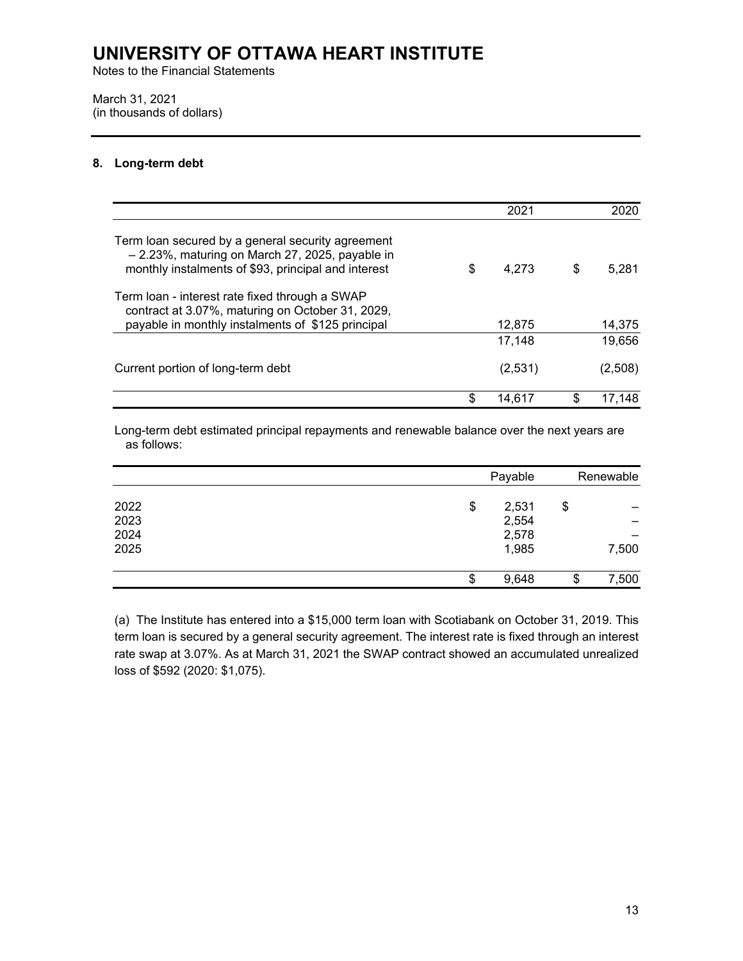Notes to the Financial Statements

### March 31, 2021 (in thousands of dollars)

### **8. Long-term debt**

|                                                                                                                                                                | 2021         |    | 2020    |
|----------------------------------------------------------------------------------------------------------------------------------------------------------------|--------------|----|---------|
| Term loan secured by a general security agreement<br>$-2.23\%$ , maturing on March 27, 2025, payable in<br>monthly instalments of \$93, principal and interest | \$<br>4.273  | S  | 5.281   |
| Term loan - interest rate fixed through a SWAP<br>contract at 3.07%, maturing on October 31, 2029,<br>payable in monthly instalments of \$125 principal        | 12,875       |    | 14,375  |
|                                                                                                                                                                | 17,148       |    | 19,656  |
| Current portion of long-term debt                                                                                                                              | (2,531)      |    | (2,508) |
|                                                                                                                                                                | \$<br>14.617 | \$ | 17,148  |

Long-term debt estimated principal repayments and renewable balance over the next years are as follows:

|      | Payable     | Renewable   |
|------|-------------|-------------|
| 2022 | \$<br>2,531 | \$          |
| 2023 | 2,554       |             |
| 2024 | 2,578       |             |
| 2025 | 1,985       | 7,500       |
|      |             |             |
|      | \$<br>9,648 | 7,500<br>\$ |

(a) The Institute has entered into a \$15,000 term loan with Scotiabank on October 31, 2019. This term loan is secured by a general security agreement. The interest rate is fixed through an interest rate swap at 3.07%. As at March 31, 2021 the SWAP contract showed an accumulated unrealized loss of \$592 (2020: \$1,075).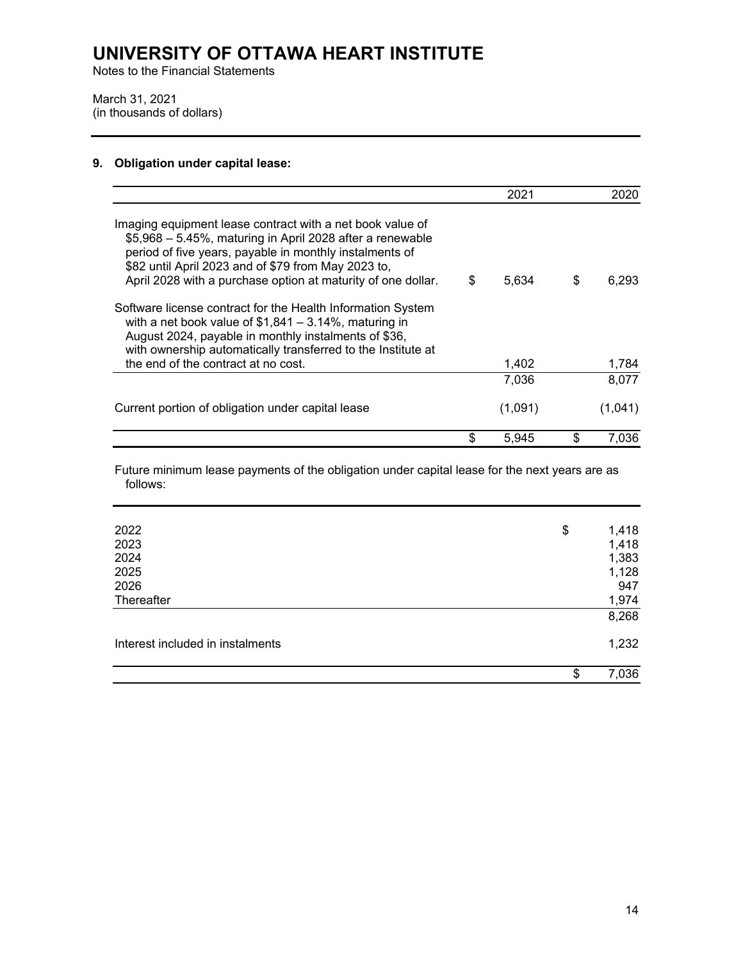Notes to the Financial Statements

#### March 31, 2021 (in thousands of dollars)

## **9. Obligation under capital lease:**

|                                                                                                                                                                                                                                                                                                          | 2021        | 2020        |
|----------------------------------------------------------------------------------------------------------------------------------------------------------------------------------------------------------------------------------------------------------------------------------------------------------|-------------|-------------|
| Imaging equipment lease contract with a net book value of<br>\$5,968 - 5.45%, maturing in April 2028 after a renewable<br>period of five years, payable in monthly instalments of<br>\$82 until April 2023 and of \$79 from May 2023 to,<br>April 2028 with a purchase option at maturity of one dollar. | \$<br>5.634 | \$<br>6.293 |
| Software license contract for the Health Information System<br>with a net book value of $$1,841 - 3.14\%$ , maturing in<br>August 2024, payable in monthly instalments of \$36,<br>with ownership automatically transferred to the Institute at                                                          |             |             |
| the end of the contract at no cost.                                                                                                                                                                                                                                                                      | 1,402       | 1,784       |
|                                                                                                                                                                                                                                                                                                          | 7.036       | 8,077       |
| Current portion of obligation under capital lease                                                                                                                                                                                                                                                        | (1,091)     | (1,041)     |
|                                                                                                                                                                                                                                                                                                          | \$<br>5.945 | \$<br>7,036 |

Future minimum lease payments of the obligation under capital lease for the next years are as follows:

| \$<br>2022                       | 1,418       |
|----------------------------------|-------------|
| 2023                             | 1,418       |
| 2024                             | 1,383       |
| 2025                             | 1,128       |
| 2026                             | 947         |
| Thereafter                       | 1,974       |
|                                  | 8,268       |
| Interest included in instalments | 1,232       |
|                                  | 7,036<br>\$ |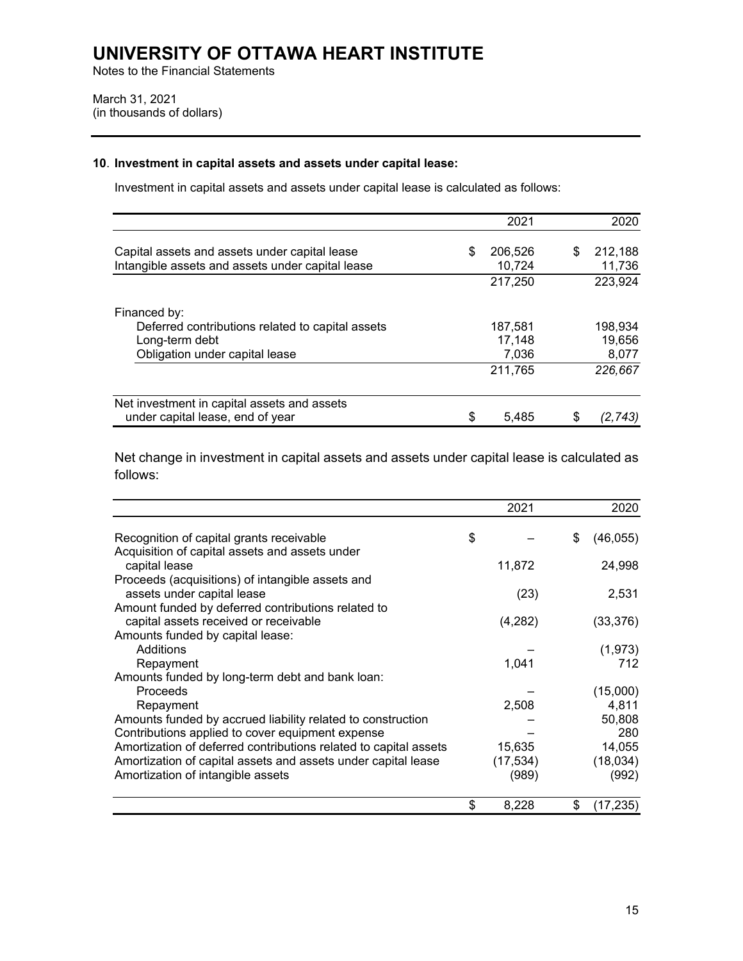Notes to the Financial Statements

### March 31, 2021 (in thousands of dollars)

### **10**. **Investment in capital assets and assets under capital lease:**

Investment in capital assets and assets under capital lease is calculated as follows:

|                                                                                                   |    | 2021              |   | 2020              |
|---------------------------------------------------------------------------------------------------|----|-------------------|---|-------------------|
| Capital assets and assets under capital lease<br>Intangible assets and assets under capital lease | S  | 206,526<br>10.724 | S | 212,188<br>11,736 |
|                                                                                                   |    | 217,250           |   | 223,924           |
| Financed by:                                                                                      |    |                   |   |                   |
| Deferred contributions related to capital assets                                                  |    | 187,581           |   | 198,934           |
| Long-term debt                                                                                    |    | 17.148            |   | 19,656            |
| Obligation under capital lease                                                                    |    | 7.036             |   | 8,077             |
|                                                                                                   |    | 211,765           |   | 226,667           |
| Net investment in capital assets and assets                                                       |    |                   |   |                   |
| under capital lease, end of year                                                                  | \$ | 5.485             |   | (2.743)           |

Net change in investment in capital assets and assets under capital lease is calculated as follows:

|                                                                                                                 | 2021               | 2020              |
|-----------------------------------------------------------------------------------------------------------------|--------------------|-------------------|
| Recognition of capital grants receivable                                                                        | \$                 | \$<br>(46, 055)   |
| Acquisition of capital assets and assets under<br>capital lease                                                 | 11,872             | 24,998            |
| Proceeds (acquisitions) of intangible assets and                                                                |                    |                   |
| assets under capital lease<br>Amount funded by deferred contributions related to                                | (23)               | 2,531             |
| capital assets received or receivable                                                                           | (4,282)            | (33, 376)         |
| Amounts funded by capital lease:<br>Additions                                                                   |                    | (1, 973)          |
| Repayment                                                                                                       | 1,041              | 712               |
| Amounts funded by long-term debt and bank loan:<br>Proceeds                                                     |                    | (15,000)          |
| Repayment                                                                                                       | 2,508              | 4,811             |
| Amounts funded by accrued liability related to construction<br>Contributions applied to cover equipment expense |                    | 50,808<br>280     |
| Amortization of deferred contributions related to capital assets                                                | 15,635             | 14,055            |
| Amortization of capital assets and assets under capital lease<br>Amortization of intangible assets              | (17, 534)<br>(989) | (18,034)<br>(992) |
|                                                                                                                 |                    |                   |
|                                                                                                                 | \$<br>8,228        | \$<br>(17, 235)   |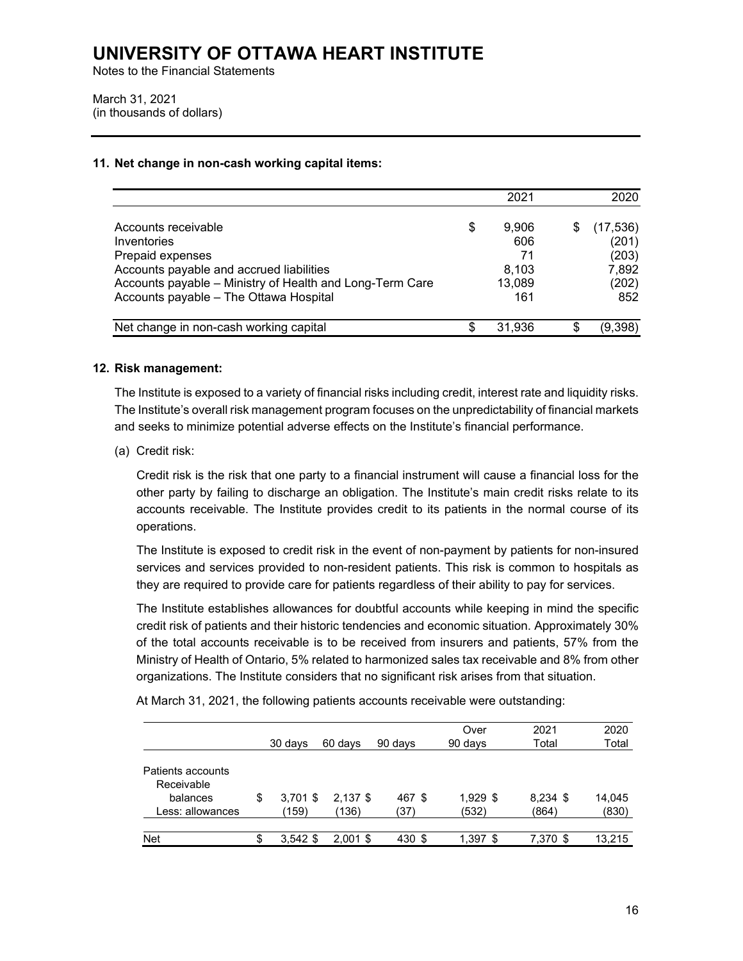Notes to the Financial Statements

#### March 31, 2021 (in thousands of dollars)

### **11. Net change in non-cash working capital items:**

|                                                          |   | 2021   | 2020            |
|----------------------------------------------------------|---|--------|-----------------|
| Accounts receivable                                      | S | 9.906  | \$<br>(17, 536) |
| Inventories                                              |   | 606    | (201)           |
| Prepaid expenses                                         |   | 71     | (203)           |
| Accounts payable and accrued liabilities                 |   | 8,103  | 7,892           |
| Accounts payable - Ministry of Health and Long-Term Care |   | 13,089 | (202)           |
| Accounts payable - The Ottawa Hospital                   |   | 161    | 852             |
| Net change in non-cash working capital                   |   | 31.936 | (9,398)         |

### **12. Risk management:**

The Institute is exposed to a variety of financial risks including credit, interest rate and liquidity risks. The Institute's overall risk management program focuses on the unpredictability of financial markets and seeks to minimize potential adverse effects on the Institute's financial performance.

(a) Credit risk:

Credit risk is the risk that one party to a financial instrument will cause a financial loss for the other party by failing to discharge an obligation. The Institute's main credit risks relate to its accounts receivable. The Institute provides credit to its patients in the normal course of its operations.

The Institute is exposed to credit risk in the event of non-payment by patients for non-insured services and services provided to non-resident patients. This risk is common to hospitals as they are required to provide care for patients regardless of their ability to pay for services.

The Institute establishes allowances for doubtful accounts while keeping in mind the specific credit risk of patients and their historic tendencies and economic situation. Approximately 30% of the total accounts receivable is to be received from insurers and patients, 57% from the Ministry of Health of Ontario, 5% related to harmonized sales tax receivable and 8% from other organizations. The Institute considers that no significant risk arises from that situation.

|                                                                 |    | 30 days             | 60 days             | 90 davs        | Over<br>90 days     | 2021<br>Total       | 2020<br>Total   |
|-----------------------------------------------------------------|----|---------------------|---------------------|----------------|---------------------|---------------------|-----------------|
| Patients accounts<br>Receivable<br>balances<br>Less: allowances | \$ | $3,701$ \$<br>(159) | $2,137$ \$<br>(136) | 467 \$<br>(37) | $1.929$ \$<br>(532) | $8,234$ \$<br>(864) | 14,045<br>(830) |
| Net                                                             | S  | $3.542$ \$          | $2.001$ \$          | 430 \$         | $1,397$ \$          | 7,370 \$            | 13.215          |

At March 31, 2021, the following patients accounts receivable were outstanding: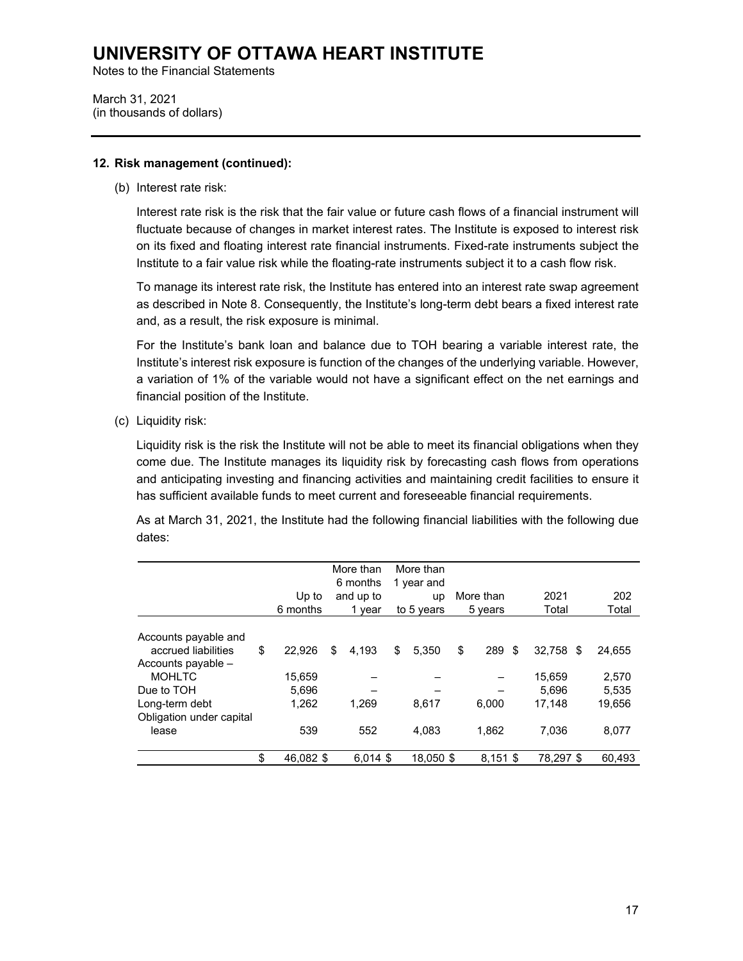Notes to the Financial Statements

March 31, 2021 (in thousands of dollars)

#### **12. Risk management (continued):**

(b) Interest rate risk:

Institute to a fair value risk while the floating-rate instruments subject it to a cash flow risk. Interest rate risk is the risk that the fair value or future cash flows of a financial instrument will fluctuate because of changes in market interest rates. The Institute is exposed to interest risk on its fixed and floating interest rate financial instruments. Fixed-rate instruments subject the

To manage its interest rate risk, the Institute has entered into an interest rate swap agreement as described in Note 8. Consequently, the Institute's long-term debt bears a fixed interest rate and, as a result, the risk exposure is minimal.

For the Institute's bank loan and balance due to TOH bearing a variable interest rate, the Institute's interest risk exposure is function of the changes of the underlying variable. However, a variation of 1% of the variable would not have a significant effect on the net earnings and financial position of the Institute.

(c) Liquidity risk:

Liquidity risk is the risk the Institute will not be able to meet its financial obligations when they come due. The Institute manages its liquidity risk by forecasting cash flows from operations and anticipating investing and financing activities and maintaining credit facilities to ensure it has sufficient available funds to meet current and foreseeable financial requirements.

As at March 31, 2021, the Institute had the following financial liabilities with the following due dates:

|                          |                 | More than   | More than   |                  |           |        |
|--------------------------|-----------------|-------------|-------------|------------------|-----------|--------|
|                          |                 | 6 months    | 1 year and  |                  |           |        |
|                          | Up to           | and up to   | <b>up</b>   | More than        | 2021      | 202    |
|                          | 6 months        | 1 year      | to 5 years  | 5 years          | Total     | Total  |
|                          |                 |             |             |                  |           |        |
| Accounts payable and     |                 |             |             |                  |           |        |
| accrued liabilities      | \$<br>22.926    | \$<br>4.193 | \$<br>5,350 | \$<br>289<br>-\$ | 32.758 \$ | 24.655 |
| Accounts payable -       |                 |             |             |                  |           |        |
| <b>MOHLTC</b>            | 15.659          |             |             |                  | 15.659    | 2.570  |
| Due to TOH               | 5.696           |             |             |                  | 5.696     | 5.535  |
| Long-term debt           | 1.262           | 1.269       | 8,617       | 6.000            | 17.148    | 19,656 |
| Obligation under capital |                 |             |             |                  |           |        |
| lease                    | 539             | 552         | 4.083       | 1.862            | 7.036     | 8,077  |
|                          |                 |             |             |                  |           |        |
|                          | \$<br>46.082 \$ | $6,014$ \$  | 18,050 \$   | $8,151$ \$       | 78,297 \$ | 60,493 |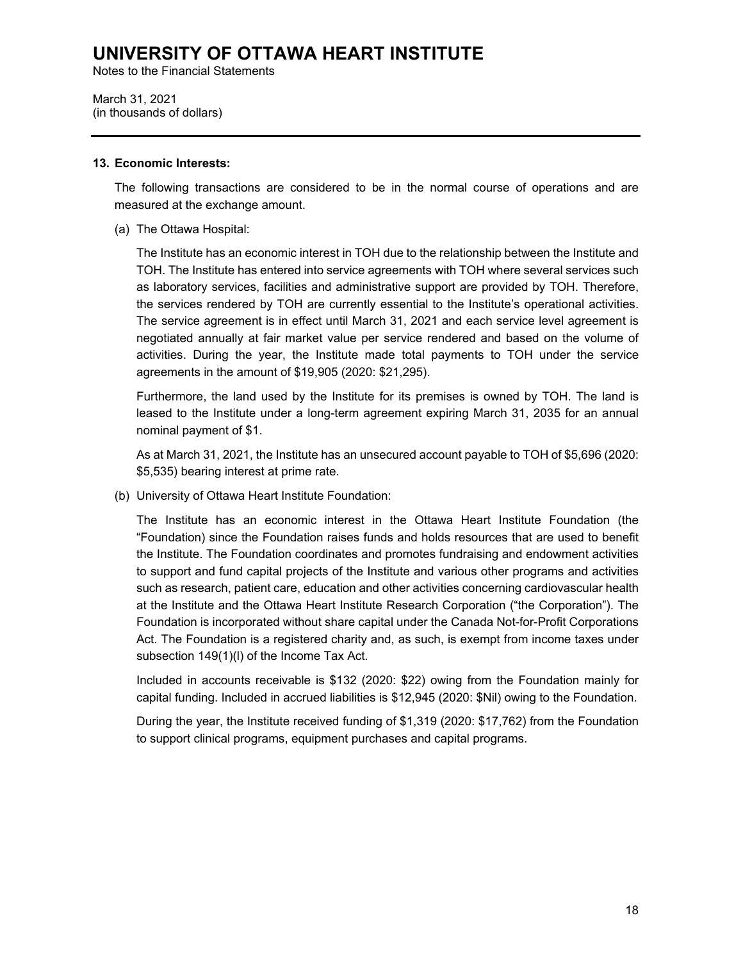Notes to the Financial Statements

March 31, 2021 (in thousands of dollars)

#### **13. Economic Interests:**

The following transactions are considered to be in the normal course of operations and are measured at the exchange amount.

(a) The Ottawa Hospital:

 TOH. The Institute has entered into service agreements with TOH where several services such The Institute has an economic interest in TOH due to the relationship between the Institute and as laboratory services, facilities and administrative support are provided by TOH. Therefore, the services rendered by TOH are currently essential to the Institute's operational activities. The service agreement is in effect until March 31, 2021 and each service level agreement is negotiated annually at fair market value per service rendered and based on the volume of activities. During the year, the Institute made total payments to TOH under the service agreements in the amount of \$19,905 (2020: \$21,295).

Furthermore, the land used by the Institute for its premises is owned by TOH. The land is leased to the Institute under a long-term agreement expiring March 31, 2035 for an annual nominal payment of \$1.

As at March 31, 2021, the Institute has an unsecured account payable to TOH of \$5,696 (2020: \$5,535) bearing interest at prime rate.

(b) University of Ottawa Heart Institute Foundation:

The Institute has an economic interest in the Ottawa Heart Institute Foundation (the "Foundation) since the Foundation raises funds and holds resources that are used to benefit the Institute. The Foundation coordinates and promotes fundraising and endowment activities to support and fund capital projects of the Institute and various other programs and activities such as research, patient care, education and other activities concerning cardiovascular health at the Institute and the Ottawa Heart Institute Research Corporation ("the Corporation"). The Foundation is incorporated without share capital under the Canada Not-for-Profit Corporations Act. The Foundation is a registered charity and, as such, is exempt from income taxes under subsection 149(1)(l) of the Income Tax Act.

Included in accounts receivable is \$132 (2020: \$22) owing from the Foundation mainly for capital funding. Included in accrued liabilities is \$12,945 (2020: \$Nil) owing to the Foundation.

During the year, the Institute received funding of \$1,319 (2020: \$17,762) from the Foundation to support clinical programs, equipment purchases and capital programs.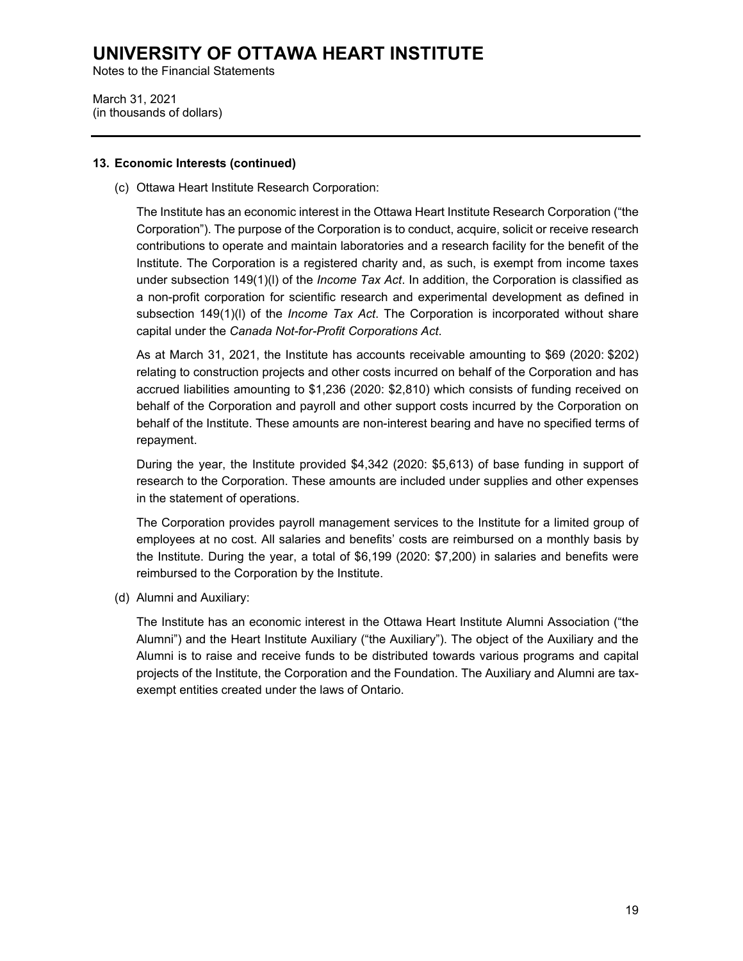Notes to the Financial Statements

March 31, 2021 (in thousands of dollars)

#### **13. Economic Interests (continued)**

(c) Ottawa Heart Institute Research Corporation:

The Institute has an economic interest in the Ottawa Heart Institute Research Corporation ("the Corporation"). The purpose of the Corporation is to conduct, acquire, solicit or receive research contributions to operate and maintain laboratories and a research facility for the benefit of the Institute. The Corporation is a registered charity and, as such, is exempt from income taxes under subsection 149(1)(l) of the *Income Tax Act*. In addition, the Corporation is classified as a non-profit corporation for scientific research and experimental development as defined in subsection 149(1)(l) of the *Income Tax Act*. The Corporation is incorporated without share capital under the *Canada Not-for-Profit Corporations Act*.

As at March 31, 2021, the Institute has accounts receivable amounting to \$69 (2020: \$202) relating to construction projects and other costs incurred on behalf of the Corporation and has accrued liabilities amounting to \$1,236 (2020: \$2,810) which consists of funding received on behalf of the Corporation and payroll and other support costs incurred by the Corporation on behalf of the Institute. These amounts are non-interest bearing and have no specified terms of repayment.

During the year, the Institute provided \$4,342 (2020: \$5,613) of base funding in support of research to the Corporation. These amounts are included under supplies and other expenses in the statement of operations.

The Corporation provides payroll management services to the Institute for a limited group of employees at no cost. All salaries and benefits' costs are reimbursed on a monthly basis by the Institute. During the year, a total of \$6,199 (2020: \$7,200) in salaries and benefits were reimbursed to the Corporation by the Institute.

(d) Alumni and Auxiliary:

The Institute has an economic interest in the Ottawa Heart Institute Alumni Association ("the Alumni") and the Heart Institute Auxiliary ("the Auxiliary"). The object of the Auxiliary and the Alumni is to raise and receive funds to be distributed towards various programs and capital projects of the Institute, the Corporation and the Foundation. The Auxiliary and Alumni are taxexempt entities created under the laws of Ontario.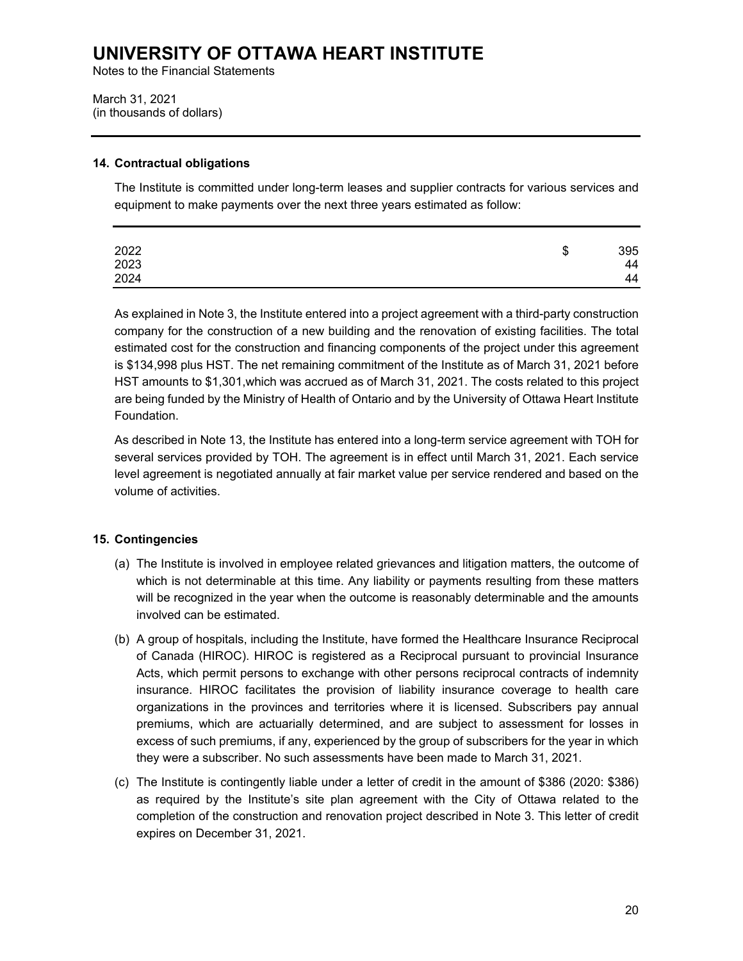Notes to the Financial Statements

March 31, 2021 (in thousands of dollars)

### **14. Contractual obligations**

The Institute is committed under long-term leases and supplier contracts for various services and equipment to make payments over the next three years estimated as follow:

| 2022 | æ<br>ง | 395 |
|------|--------|-----|
| 2023 |        | 44  |
| 2024 |        | 44  |

As explained in Note 3, the Institute entered into a project agreement with a third-party construction company for the construction of a new building and the renovation of existing facilities. The total estimated cost for the construction and financing components of the project under this agreement is \$134,998 plus HST. The net remaining commitment of the Institute as of March 31, 2021 before HST amounts to \$1,301,which was accrued as of March 31, 2021. The costs related to this project are being funded by the Ministry of Health of Ontario and by the University of Ottawa Heart Institute Foundation.

As described in Note 13, the Institute has entered into a long-term service agreement with TOH for several services provided by TOH. The agreement is in effect until March 31, 2021. Each service level agreement is negotiated annually at fair market value per service rendered and based on the volume of activities.

### **15. Contingencies**

- (a) The Institute is involved in employee related grievances and litigation matters, the outcome of which is not determinable at this time. Any liability or payments resulting from these matters will be recognized in the year when the outcome is reasonably determinable and the amounts involved can be estimated.
- (b) A group of hospitals, including the Institute, have formed the Healthcare Insurance Reciprocal of Canada (HIROC). HIROC is registered as a Reciprocal pursuant to provincial Insurance Acts, which permit persons to exchange with other persons reciprocal contracts of indemnity insurance. HIROC facilitates the provision of liability insurance coverage to health care organizations in the provinces and territories where it is licensed. Subscribers pay annual premiums, which are actuarially determined, and are subject to assessment for losses in excess of such premiums, if any, experienced by the group of subscribers for the year in which they were a subscriber. No such assessments have been made to March 31, 2021.
- (c) The Institute is contingently liable under a letter of credit in the amount of \$386 (2020: \$386) as required by the Institute's site plan agreement with the City of Ottawa related to the completion of the construction and renovation project described in Note 3. This letter of credit expires on December 31, 2021.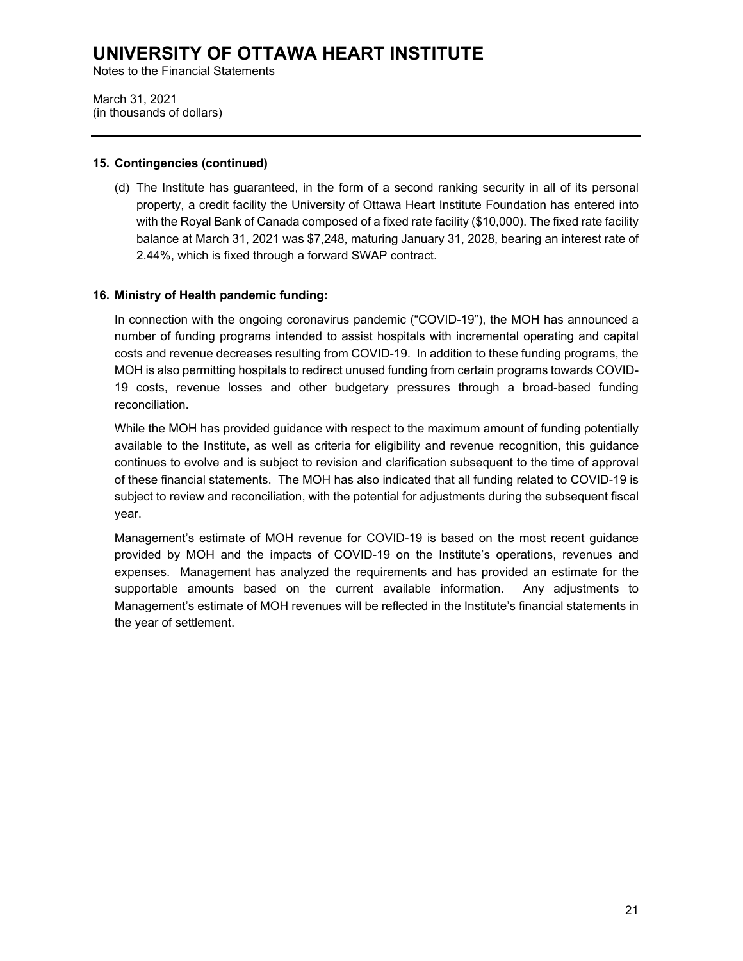Notes to the Financial Statements

March 31, 2021 (in thousands of dollars)

### **15. Contingencies (continued)**

(d) The Institute has guaranteed, in the form of a second ranking security in all of its personal property, a credit facility the University of Ottawa Heart Institute Foundation has entered into with the Royal Bank of Canada composed of a fixed rate facility (\$10,000). The fixed rate facility balance at March 31, 2021 was \$7,248, maturing January 31, 2028, bearing an interest rate of 2.44%, which is fixed through a forward SWAP contract.

### **16. Ministry of Health pandemic funding:**

reconciliation. In connection with the ongoing coronavirus pandemic ("COVID-19"), the MOH has announced a number of funding programs intended to assist hospitals with incremental operating and capital costs and revenue decreases resulting from COVID-19. In addition to these funding programs, the MOH is also permitting hospitals to redirect unused funding from certain programs towards COVID-19 costs, revenue losses and other budgetary pressures through a broad-based funding

year. While the MOH has provided guidance with respect to the maximum amount of funding potentially available to the Institute, as well as criteria for eligibility and revenue recognition, this guidance continues to evolve and is subject to revision and clarification subsequent to the time of approval of these financial statements. The MOH has also indicated that all funding related to COVID-19 is subject to review and reconciliation, with the potential for adjustments during the subsequent fiscal

Management's estimate of MOH revenue for COVID-19 is based on the most recent guidance provided by MOH and the impacts of COVID-19 on the Institute's operations, revenues and expenses. Management has analyzed the requirements and has provided an estimate for the supportable amounts based on the current available information. Any adjustments to Management's estimate of MOH revenues will be reflected in the Institute's financial statements in the year of settlement.